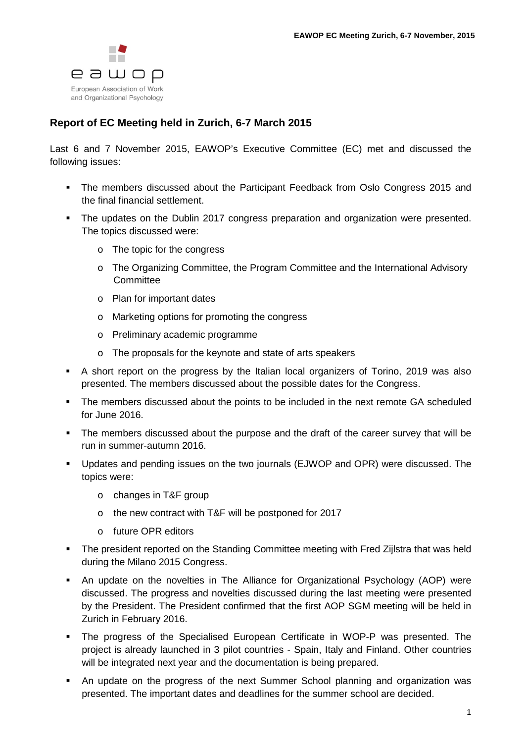

## **Report of EC Meeting held in Zurich, 6-7 March 2015**

Last 6 and 7 November 2015, EAWOP's Executive Committee (EC) met and discussed the following issues:

- The members discussed about the Participant Feedback from Oslo Congress 2015 and the final financial settlement.
- The updates on the Dublin 2017 congress preparation and organization were presented. The topics discussed were:
	- o The topic for the congress
	- o The Organizing Committee, the Program Committee and the International Advisory **Committee**
	- o Plan for important dates
	- o Marketing options for promoting the congress
	- o Preliminary academic programme
	- o The proposals for the keynote and state of arts speakers
- A short report on the progress by the Italian local organizers of Torino, 2019 was also presented. The members discussed about the possible dates for the Congress.
- The members discussed about the points to be included in the next remote GA scheduled for June 2016.
- The members discussed about the purpose and the draft of the career survey that will be run in summer-autumn 2016.
- Updates and pending issues on the two journals (EJWOP and OPR) were discussed. The topics were:
	- o changes in T&F group
	- o the new contract with T&F will be postponed for 2017
	- o future OPR editors
- The president reported on the Standing Committee meeting with Fred Zijlstra that was held during the Milano 2015 Congress.
- An update on the novelties in The Alliance for Organizational Psychology (AOP) were discussed. The progress and novelties discussed during the last meeting were presented by the President. The President confirmed that the first AOP SGM meeting will be held in Zurich in February 2016.
- The progress of the Specialised European Certificate in WOP-P was presented. The project is already launched in 3 pilot countries - Spain, Italy and Finland. Other countries will be integrated next year and the documentation is being prepared.
- An update on the progress of the next Summer School planning and organization was presented. The important dates and deadlines for the summer school are decided.